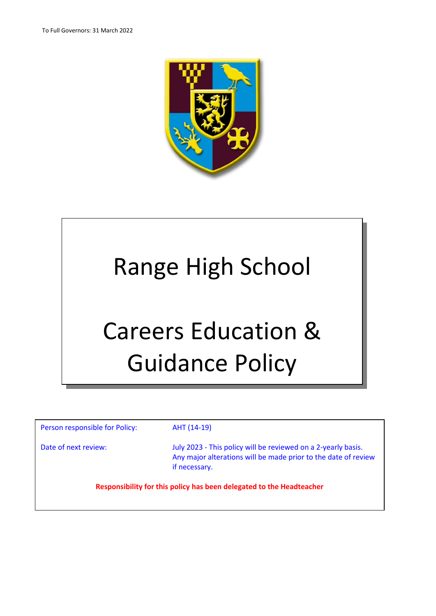

# Range High School Careers Education & Guidance Policy

Person responsible for Policy: AHT (14-19)

Date of next review: July 2023 - This policy will be reviewed on a 2-yearly basis. Any major alterations will be made prior to the date of review if necessary.

**Responsibility for this policy has been delegated to the Headteacher**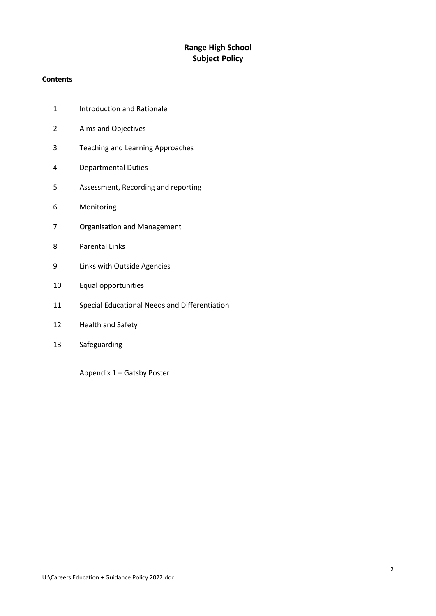# **Range High School Subject Policy**

# **Contents**

- Introduction and Rationale
- Aims and Objectives
- Teaching and Learning Approaches
- Departmental Duties
- Assessment, Recording and reporting
- Monitoring
- Organisation and Management
- Parental Links
- Links with Outside Agencies
- Equal opportunities
- Special Educational Needs and Differentiation
- Health and Safety
- Safeguarding

Appendix 1 – Gatsby Poster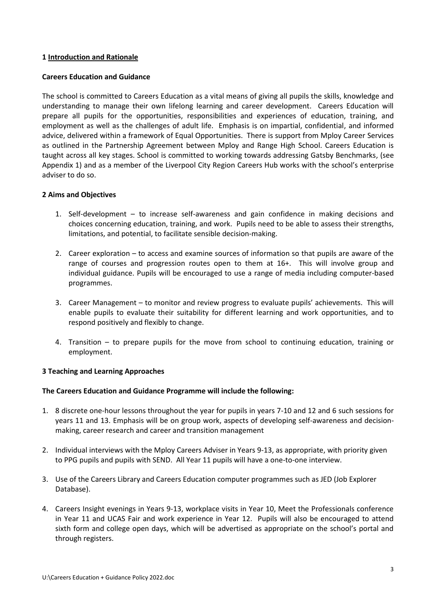#### **1 Introduction and Rationale**

#### **Careers Education and Guidance**

The school is committed to Careers Education as a vital means of giving all pupils the skills, knowledge and understanding to manage their own lifelong learning and career development. Careers Education will prepare all pupils for the opportunities, responsibilities and experiences of education, training, and employment as well as the challenges of adult life. Emphasis is on impartial, confidential, and informed advice, delivered within a framework of Equal Opportunities. There is support from Mploy Career Services as outlined in the Partnership Agreement between Mploy and Range High School. Careers Education is taught across all key stages. School is committed to working towards addressing Gatsby Benchmarks, (see Appendix 1) and as a member of the Liverpool City Region Careers Hub works with the school's enterprise adviser to do so.

### **2 Aims and Objectives**

- 1. Self-development to increase self-awareness and gain confidence in making decisions and choices concerning education, training, and work. Pupils need to be able to assess their strengths, limitations, and potential, to facilitate sensible decision-making.
- 2. Career exploration to access and examine sources of information so that pupils are aware of the range of courses and progression routes open to them at 16+. This will involve group and individual guidance. Pupils will be encouraged to use a range of media including computer-based programmes.
- 3. Career Management to monitor and review progress to evaluate pupils' achievements. This will enable pupils to evaluate their suitability for different learning and work opportunities, and to respond positively and flexibly to change.
- 4. Transition to prepare pupils for the move from school to continuing education, training or employment.

### **3 Teaching and Learning Approaches**

#### **The Careers Education and Guidance Programme will include the following:**

- 1. 8 discrete one-hour lessons throughout the year for pupils in years 7-10 and 12 and 6 such sessions for years 11 and 13. Emphasis will be on group work, aspects of developing self-awareness and decisionmaking, career research and career and transition management
- 2. Individual interviews with the Mploy Careers Adviser in Years 9-13, as appropriate, with priority given to PPG pupils and pupils with SEND. All Year 11 pupils will have a one-to-one interview.
- 3. Use of the Careers Library and Careers Education computer programmes such as JED (Job Explorer Database).
- 4. Careers Insight evenings in Years 9-13, workplace visits in Year 10, Meet the Professionals conference in Year 11 and UCAS Fair and work experience in Year 12. Pupils will also be encouraged to attend sixth form and college open days, which will be advertised as appropriate on the school's portal and through registers.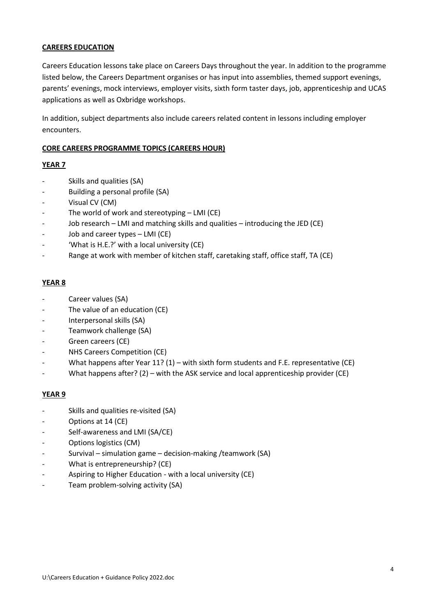# **CAREERS EDUCATION**

Careers Education lessons take place on Careers Days throughout the year. In addition to the programme listed below, the Careers Department organises or has input into assemblies, themed support evenings, parents' evenings, mock interviews, employer visits, sixth form taster days, job, apprenticeship and UCAS applications as well as Oxbridge workshops.

In addition, subject departments also include careers related content in lessons including employer encounters.

### **CORE CAREERS PROGRAMME TOPICS (CAREERS HOUR)**

# **YEAR 7**

- Skills and qualities (SA)
- Building a personal profile (SA)
- Visual CV (CM)
- The world of work and stereotyping  $-$  LMI (CE)
- Job research LMI and matching skills and qualities introducing the JED (CE)
- Job and career types LMI (CE)
- 'What is H.E.?' with a local university (CE)
- Range at work with member of kitchen staff, caretaking staff, office staff, TA (CE)

#### **YEAR 8**

- Career values (SA)
- The value of an education (CE)
- Interpersonal skills (SA)
- Teamwork challenge (SA)
- Green careers (CE)
- NHS Careers Competition (CE)
- What happens after Year 11? (1) with sixth form students and F.E. representative (CE)
- What happens after?  $(2)$  with the ASK service and local apprenticeship provider (CE)

### **YEAR 9**

- Skills and qualities re-visited (SA)
- Options at 14 (CE)
- Self-awareness and LMI (SA/CE)
- Options logistics (CM)
- Survival simulation game decision-making /teamwork (SA)
- What is entrepreneurship? (CE)
- Aspiring to Higher Education with a local university (CE)
- Team problem-solving activity (SA)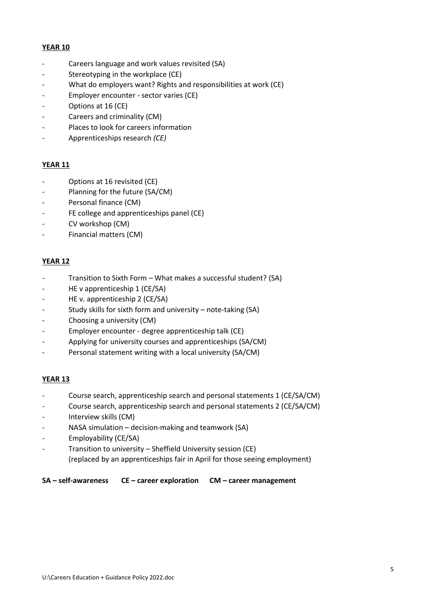#### **YEAR 10**

- Careers language and work values revisited (SA)
- Stereotyping in the workplace (CE)
- What do employers want? Rights and responsibilities at work (CE)
- Employer encounter sector varies (CE)
- Options at 16 (CE)
- Careers and criminality (CM)
- Places to look for careers information
- Apprenticeships research *(CE)*

### **YEAR 11**

- Options at 16 revisited (CE)
- Planning for the future (SA/CM)
- Personal finance (CM)
- FE college and apprenticeships panel (CE)
- CV workshop (CM)
- Financial matters (CM)

# **YEAR 12**

- Transition to Sixth Form What makes a successful student? (SA)
- HE v apprenticeship 1 (CE/SA)
- HE v. apprenticeship 2 (CE/SA)
- Study skills for sixth form and university note-taking (SA)
- Choosing a university (CM)
- Employer encounter degree apprenticeship talk (CE)
- Applying for university courses and apprenticeships (SA/CM)
- Personal statement writing with a local university (SA/CM)

### **YEAR 13**

- Course search, apprenticeship search and personal statements 1 (CE/SA/CM)
- Course search, apprenticeship search and personal statements 2 (CE/SA/CM)
- Interview skills (CM)
- NASA simulation decision-making and teamwork (SA)
- Employability (CE/SA)
- Transition to university Sheffield University session (CE) (replaced by an apprenticeships fair in April for those seeing employment)

### **SA – self-awareness CE – career exploration CM – career management**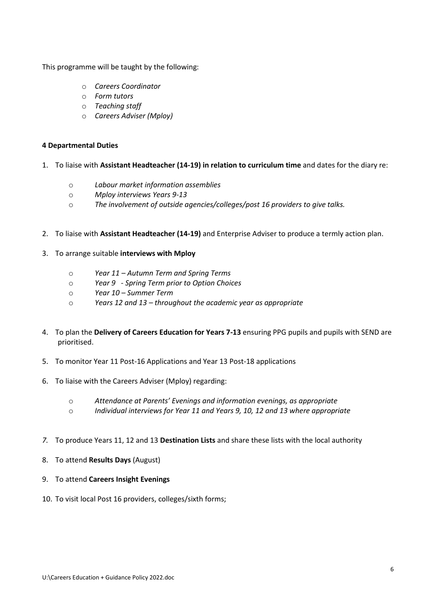This programme will be taught by the following:

- o *Careers Coordinator*
- o *Form tutors*
- o *Teaching staff*
- o *Careers Adviser (Mploy)*

#### **4 Departmental Duties**

- 1. To liaise with **Assistant Headteacher (14-19) in relation to curriculum time** and dates for the diary re:
	- o *Labour market information assemblies*
	- o *Mploy interviews Years 9-13*
	- o *The involvement of outside agencies/colleges/post 16 providers to give talks.*
- 2. To liaise with **Assistant Headteacher (14-19)** and Enterprise Adviser to produce a termly action plan.
- 3. To arrange suitable **interviews with Mploy**
	- o *Year 11 – Autumn Term and Spring Terms*
	- o *Year 9 - Spring Term prior to Option Choices*
	- o *Year 10 – Summer Term*
	- o *Years 12 and 13 – throughout the academic year as appropriate*
- 4. To plan the **Delivery of Careers Education for Years 7-13** ensuring PPG pupils and pupils with SEND are prioritised.
- 5. To monitor Year 11 Post-16 Applications and Year 13 Post-18 applications
- 6. To liaise with the Careers Adviser (Mploy) regarding:
	- o *Attendance at Parents' Evenings and information evenings, as appropriate*
	- o *Individual interviews for Year 11 and Years 9, 10, 12 and 13 where appropriate*
- *7.* To produce Years 11, 12 and 13 **Destination Lists** and share these lists with the local authority
- 8. To attend **Results Days** (August)
- 9. To attend **Careers Insight Evenings**
- 10. To visit local Post 16 providers, colleges/sixth forms;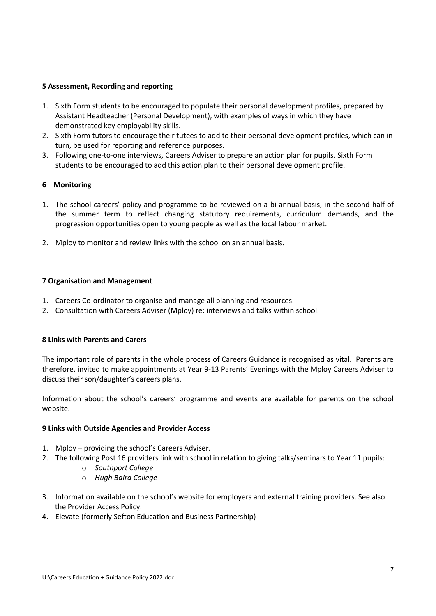## **5 Assessment, Recording and reporting**

- 1. Sixth Form students to be encouraged to populate their personal development profiles, prepared by Assistant Headteacher (Personal Development), with examples of ways in which they have demonstrated key employability skills.
- 2. Sixth Form tutors to encourage their tutees to add to their personal development profiles, which can in turn, be used for reporting and reference purposes.
- 3. Following one-to-one interviews, Careers Adviser to prepare an action plan for pupils. Sixth Form students to be encouraged to add this action plan to their personal development profile.

# **6 Monitoring**

- 1. The school careers' policy and programme to be reviewed on a bi-annual basis, in the second half of the summer term to reflect changing statutory requirements, curriculum demands, and the progression opportunities open to young people as well as the local labour market.
- 2. Mploy to monitor and review links with the school on an annual basis.

### **7 Organisation and Management**

- 1. Careers Co-ordinator to organise and manage all planning and resources.
- 2. Consultation with Careers Adviser (Mploy) re: interviews and talks within school.

### **8 Links with Parents and Carers**

The important role of parents in the whole process of Careers Guidance is recognised as vital. Parents are therefore, invited to make appointments at Year 9-13 Parents' Evenings with the Mploy Careers Adviser to discuss their son/daughter's careers plans.

Information about the school's careers' programme and events are available for parents on the school website.

### **9 Links with Outside Agencies and Provider Access**

- 1. Mploy providing the school's Careers Adviser.
- 2. The following Post 16 providers link with school in relation to giving talks/seminars to Year 11 pupils:
	- o *Southport College*
	- o *Hugh Baird College*
- 3. Information available on the school's website for employers and external training providers. See also the Provider Access Policy.
- 4. Elevate (formerly Sefton Education and Business Partnership)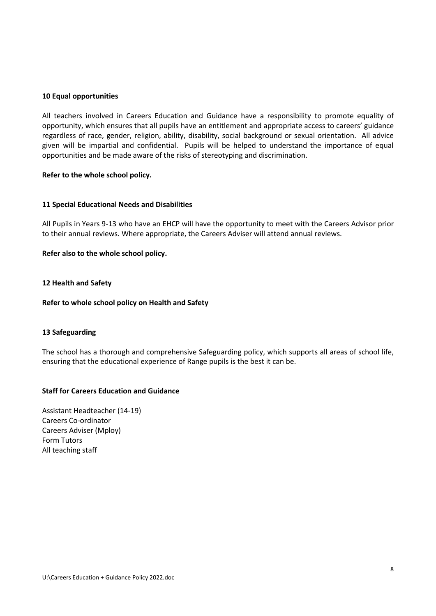#### **10 Equal opportunities**

All teachers involved in Careers Education and Guidance have a responsibility to promote equality of opportunity, which ensures that all pupils have an entitlement and appropriate access to careers' guidance regardless of race, gender, religion, ability, disability, social background or sexual orientation. All advice given will be impartial and confidential. Pupils will be helped to understand the importance of equal opportunities and be made aware of the risks of stereotyping and discrimination.

#### **Refer to the whole school policy.**

#### **11 Special Educational Needs and Disabilities**

All Pupils in Years 9-13 who have an EHCP will have the opportunity to meet with the Careers Advisor prior to their annual reviews. Where appropriate, the Careers Adviser will attend annual reviews.

#### **Refer also to the whole school policy.**

#### **12 Health and Safety**

#### **Refer to whole school policy on Health and Safety**

#### **13 Safeguarding**

The school has a thorough and comprehensive Safeguarding policy, which supports all areas of school life, ensuring that the educational experience of Range pupils is the best it can be.

## **Staff for Careers Education and Guidance**

Assistant Headteacher (14-19) Careers Co-ordinator Careers Adviser (Mploy) Form Tutors All teaching staff